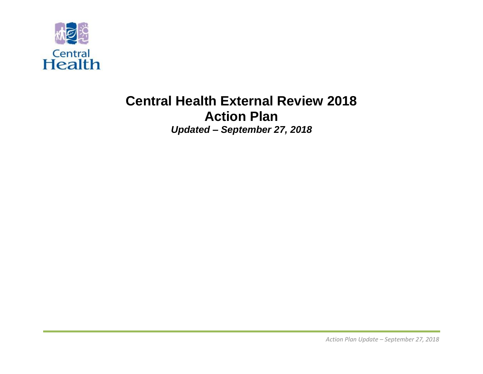

# **Central Health External Review 2018 Action Plan** *Updated – September 27, 2018*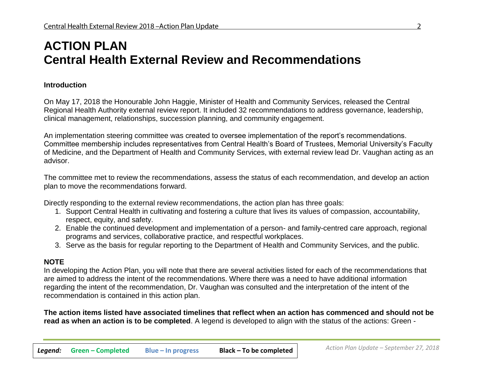# **ACTION PLAN Central Health External Review and Recommendations**

#### **Introduction**

On May 17, 2018 the Honourable John Haggie, Minister of Health and Community Services, released the Central Regional Health Authority external review report. It included 32 recommendations to address governance, leadership, clinical management, relationships, succession planning, and community engagement.

An implementation steering committee was created to oversee implementation of the report's recommendations. Committee membership includes representatives from Central Health's Board of Trustees, Memorial University's Faculty of Medicine, and the Department of Health and Community Services, with external review lead Dr. Vaughan acting as an advisor.

The committee met to review the recommendations, assess the status of each recommendation, and develop an action plan to move the recommendations forward.

Directly responding to the external review recommendations, the action plan has three goals:

- 1. Support Central Health in cultivating and fostering a culture that lives its values of compassion, accountability, respect, equity, and safety.
- 2. Enable the continued development and implementation of a person- and family-centred care approach, regional programs and services, collaborative practice, and respectful workplaces.
- 3. Serve as the basis for regular reporting to the Department of Health and Community Services, and the public.

# **NOTE**

In developing the Action Plan, you will note that there are several activities listed for each of the recommendations that are aimed to address the intent of the recommendations. Where there was a need to have additional information regarding the intent of the recommendation, Dr. Vaughan was consulted and the interpretation of the intent of the recommendation is contained in this action plan.

**The action items listed have associated timelines that reflect when an action has commenced and should not be read as when an action is to be completed**. A legend is developed to align with the status of the actions: Green -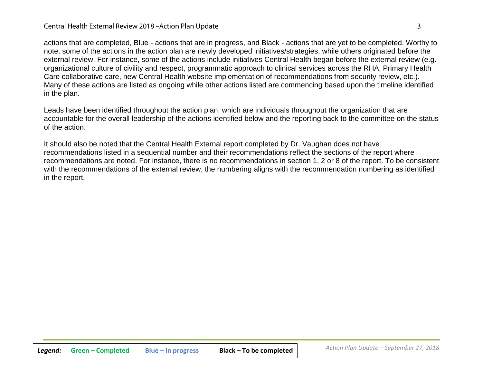actions that are completed, Blue - actions that are in progress, and Black - actions that are yet to be completed. Worthy to note, some of the actions in the action plan are newly developed initiatives/strategies, while others originated before the external review. For instance, some of the actions include initiatives Central Health began before the external review (e.g. organizational culture of civility and respect, programmatic approach to clinical services across the RHA, Primary Health Care collaborative care, new Central Health website implementation of recommendations from security review, etc.). Many of these actions are listed as ongoing while other actions listed are commencing based upon the timeline identified in the plan.

Leads have been identified throughout the action plan, which are individuals throughout the organization that are accountable for the overall leadership of the actions identified below and the reporting back to the committee on the status of the action.

It should also be noted that the Central Health External report completed by Dr. Vaughan does not have recommendations listed in a sequential number and their recommendations reflect the sections of the report where recommendations are noted. For instance, there is no recommendations in section 1, 2 or 8 of the report. To be consistent with the recommendations of the external review, the numbering aligns with the recommendation numbering as identified in the report.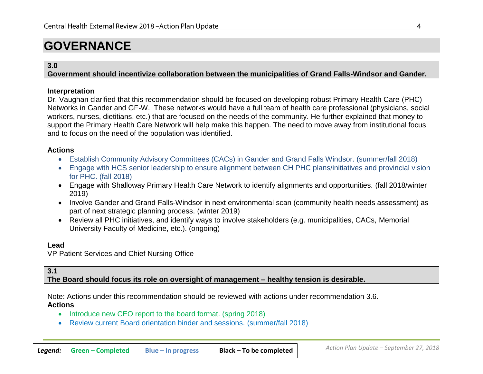# **GOVERNANCE**

#### **3.0**

**Government should incentivize collaboration between the municipalities of Grand Falls-Windsor and Gander.**

#### **Interpretation**

Dr. Vaughan clarified that this recommendation should be focused on developing robust Primary Health Care (PHC) Networks in Gander and GF-W. These networks would have a full team of health care professional (physicians, social workers, nurses, dietitians, etc.) that are focused on the needs of the community. He further explained that money to support the Primary Health Care Network will help make this happen. The need to move away from institutional focus and to focus on the need of the population was identified.

#### **Actions**

- Establish Community Advisory Committees (CACs) in Gander and Grand Falls Windsor. (summer/fall 2018)
- Engage with HCS senior leadership to ensure alignment between CH PHC plans/initiatives and provincial vision for PHC. (fall 2018)
- Engage with Shalloway Primary Health Care Network to identify alignments and opportunities. (fall 2018/winter 2019)
- Involve Gander and Grand Falls-Windsor in next environmental scan (community health needs assessment) as part of next strategic planning process. (winter 2019)
- Review all PHC initiatives, and identify ways to involve stakeholders (e.g. municipalities, CACs, Memorial University Faculty of Medicine, etc.). (ongoing)

#### **Lead**

VP Patient Services and Chief Nursing Office

#### **3.1**

**The Board should focus its role on oversight of management – healthy tension is desirable.**

Note: Actions under this recommendation should be reviewed with actions under recommendation 3.6. **Actions**

- Introduce new CEO report to the board format. (spring 2018)
- Review current Board orientation binder and sessions. (summer/fall 2018)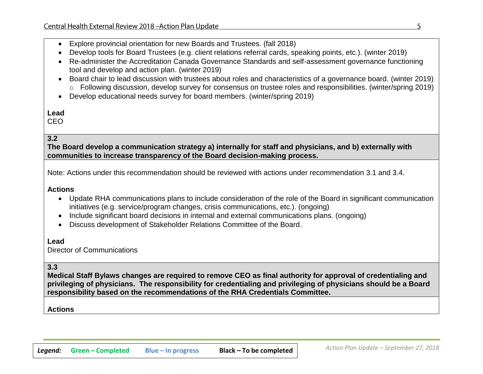- Explore provincial orientation for new Boards and Trustees. (fall 2018)
- Develop tools for Board Trustees (e.g. client relations referral cards, speaking points, etc.). (winter 2019)
- Re-administer the Accreditation Canada Governance Standards and self-assessment governance functioning tool and develop and action plan. (winter 2019)
- Board chair to lead discussion with trustees about roles and characteristics of a governance board. (winter 2019) o Following discussion, develop survey for consensus on trustee roles and responsibilities. (winter/spring 2019)
- Develop educational needs survey for board members. (winter/spring 2019)

CEO

# **3.2**

**The Board develop a communication strategy a) internally for staff and physicians, and b) externally with communities to increase transparency of the Board decision-making process.**

Note: Actions under this recommendation should be reviewed with actions under recommendation 3.1 and 3.4.

#### **Actions**

- Update RHA communications plans to include consideration of the role of the Board in significant communication initiatives (e.g. service/program changes, crisis communications, etc.). (ongoing)
- Include significant board decisions in internal and external communications plans. (ongoing)
- Discuss development of Stakeholder Relations Committee of the Board.

#### **Lead**

Director of Communications

#### **3.3**

**Medical Staff Bylaws changes are required to remove CEO as final authority for approval of credentialing and privileging of physicians. The responsibility for credentialing and privileging of physicians should be a Board responsibility based on the recommendations of the RHA Credentials Committee.**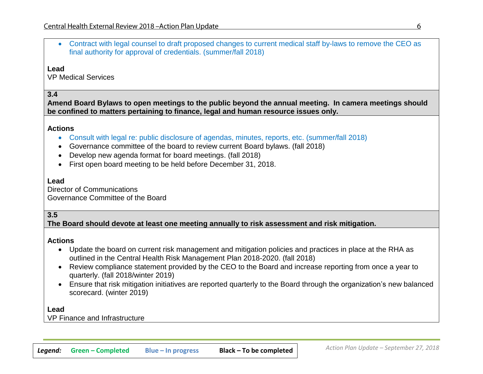• Contract with legal counsel to draft proposed changes to current medical staff by-laws to remove the CEO as final authority for approval of credentials. (summer/fall 2018)

**Lead**

VP Medical Services

#### **3.4**

**Amend Board Bylaws to open meetings to the public beyond the annual meeting. In camera meetings should be confined to matters pertaining to finance, legal and human resource issues only.**

#### **Actions**

- Consult with legal re: public disclosure of agendas, minutes, reports, etc. (summer/fall 2018)
- Governance committee of the board to review current Board bylaws. (fall 2018)
- Develop new agenda format for board meetings. (fall 2018)
- First open board meeting to be held before December 31, 2018.

#### **Lead**

Director of Communications Governance Committee of the Board

## **3.5**

**The Board should devote at least one meeting annually to risk assessment and risk mitigation.** 

#### **Actions**

- Update the board on current risk management and mitigation policies and practices in place at the RHA as outlined in the Central Health Risk Management Plan 2018-2020. (fall 2018)
- Review compliance statement provided by the CEO to the Board and increase reporting from once a year to quarterly. (fall 2018/winter 2019)
- Ensure that risk mitigation initiatives are reported quarterly to the Board through the organization's new balanced scorecard. (winter 2019)

#### **Lead**

VP Finance and Infrastructure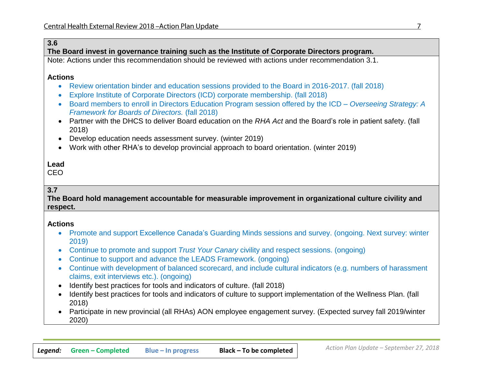# **3.6**

**The Board invest in governance training such as the Institute of Corporate Directors program.** 

Note: Actions under this recommendation should be reviewed with actions under recommendation 3.1.

#### **Actions**

- Review orientation binder and education sessions provided to the Board in 2016-2017. (fall 2018)
- Explore Institute of Corporate Directors (ICD) corporate membership. (fall 2018)
- Board members to enroll in Directors Education Program session offered by the ICD *Overseeing Strategy: A Framework for Boards of Directors.* (fall 2018)
- Partner with the DHCS to deliver Board education on the *RHA Act* and the Board's role in patient safety. (fall 2018)
- Develop education needs assessment survey. (winter 2019)
- Work with other RHA's to develop provincial approach to board orientation. (winter 2019)

# **Lead**

CEO

# **3.7**

**The Board hold management accountable for measurable improvement in organizational culture civility and respect.**

- Promote and support Excellence Canada's Guarding Minds sessions and survey. (ongoing. Next survey: winter 2019)
- Continue to promote and support *Trust Your Canary* civility and respect sessions. (ongoing)
- Continue to support and advance the LEADS Framework. (ongoing)
- Continue with development of balanced scorecard, and include cultural indicators (e.g. numbers of harassment claims, exit interviews etc.). (ongoing)
- Identify best practices for tools and indicators of culture. (fall 2018)
- Identify best practices for tools and indicators of culture to support implementation of the Wellness Plan. (fall 2018)
- Participate in new provincial (all RHAs) AON employee engagement survey. (Expected survey fall 2019/winter 2020)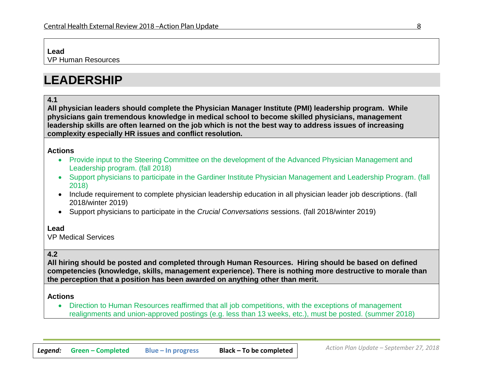VP Human Resources

# **LEADERSHIP**

## **4.1**

**All physician leaders should complete the Physician Manager Institute (PMI) leadership program. While physicians gain tremendous knowledge in medical school to become skilled physicians, management leadership skills are often learned on the job which is not the best way to address issues of increasing complexity especially HR issues and conflict resolution.**

#### **Actions**

- Provide input to the Steering Committee on the development of the Advanced Physician Management and Leadership program. (fall 2018)
- Support physicians to participate in the Gardiner Institute Physician Management and Leadership Program. (fall 2018)
- Include requirement to complete physician leadership education in all physician leader job descriptions. (fall 2018/winter 2019)
- Support physicians to participate in the *Crucial Conversations* sessions. (fall 2018/winter 2019)

#### **Lead**

VP Medical Services

# **4.2**

**All hiring should be posted and completed through Human Resources. Hiring should be based on defined competencies (knowledge, skills, management experience). There is nothing more destructive to morale than the perception that a position has been awarded on anything other than merit.**

#### **Actions**

• Direction to Human Resources reaffirmed that all job competitions, with the exceptions of management realignments and union-approved postings (e.g. less than 13 weeks, etc.), must be posted. (summer 2018)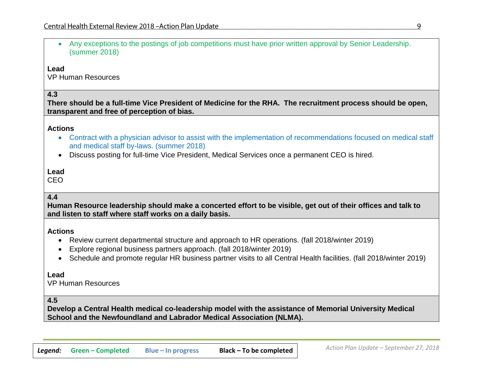• Any exceptions to the postings of job competitions must have prior written approval by Senior Leadership. (summer 2018)

**Lead**

VP Human Resources

### **4.3**

**There should be a full-time Vice President of Medicine for the RHA. The recruitment process should be open, transparent and free of perception of bias.**

#### **Actions**

- Contract with a physician advisor to assist with the implementation of recommendations focused on medical staff and medical staff by-laws. (summer 2018)
- Discuss posting for full-time Vice President, Medical Services once a permanent CEO is hired.

# **Lead**

CEO

# **4.4**

**Human Resource leadership should make a concerted effort to be visible, get out of their offices and talk to and listen to staff where staff works on a daily basis.**

#### **Actions**

- Review current departmental structure and approach to HR operations. (fall 2018/winter 2019)
- Explore regional business partners approach. (fall 2018/winter 2019)
- Schedule and promote regular HR business partner visits to all Central Health facilities. (fall 2018/winter 2019)

#### **Lead**

VP Human Resources

## **4.5**

**Develop a Central Health medical co-leadership model with the assistance of Memorial University Medical School and the Newfoundland and Labrador Medical Association (NLMA).**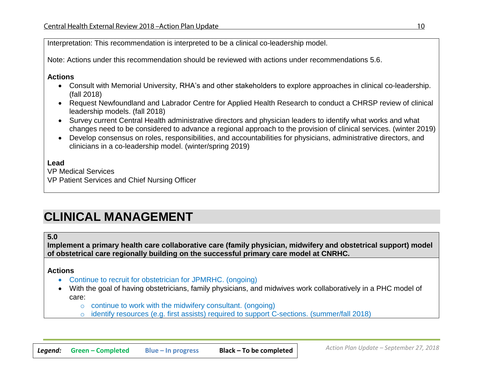Interpretation: This recommendation is interpreted to be a clinical co-leadership model.

Note: Actions under this recommendation should be reviewed with actions under recommendations 5.6.

#### **Actions**

- Consult with Memorial University, RHA's and other stakeholders to explore approaches in clinical co-leadership. (fall 2018)
- Request Newfoundland and Labrador Centre for Applied Health Research to conduct a CHRSP review of clinical leadership models. (fall 2018)
- Survey current Central Health administrative directors and physician leaders to identify what works and what changes need to be considered to advance a regional approach to the provision of clinical services. (winter 2019)
- Develop consensus on roles, responsibilities, and accountabilities for physicians, administrative directors, and clinicians in a co-leadership model. (winter/spring 2019)

### **Lead**

VP Medical Services

VP Patient Services and Chief Nursing Officer

# **CLINICAL MANAGEMENT**

#### **5.0**

**Implement a primary health care collaborative care (family physician, midwifery and obstetrical support) model of obstetrical care regionally building on the successful primary care model at CNRHC.**

- Continue to recruit for obstetrician for JPMRHC. (ongoing)
- With the goal of having obstetricians, family physicians, and midwives work collaboratively in a PHC model of care:
	- $\circ$  continue to work with the midwifery consultant. (ongoing)
	- o identify resources (e.g. first assists) required to support C-sections. (summer/fall 2018)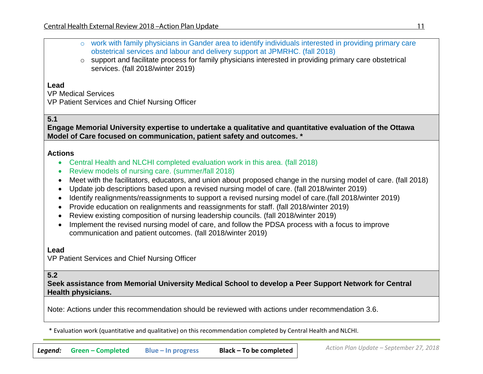| $\circ$ work with family physicians in Gander area to identify individuals interested in providing primary care |
|-----------------------------------------------------------------------------------------------------------------|
| obstetrical services and labour and delivery support at JPMRHC. (fall 2018)                                     |

 $\circ$  support and facilitate process for family physicians interested in providing primary care obstetrical services. (fall 2018/winter 2019)

#### **Lead**

VP Medical Services

VP Patient Services and Chief Nursing Officer

**5.1** 

**Engage Memorial University expertise to undertake a qualitative and quantitative evaluation of the Ottawa Model of Care focused on communication, patient safety and outcomes. \***

### **Actions**

- Central Health and NLCHI completed evaluation work in this area. (fall 2018)
- Review models of nursing care. (summer/fall 2018)
- Meet with the facilitators, educators, and union about proposed change in the nursing model of care. (fall 2018)
- Update job descriptions based upon a revised nursing model of care. (fall 2018/winter 2019)
- Identify realignments/reassignments to support a revised nursing model of care.(fall 2018/winter 2019)
- Provide education on realignments and reassignments for staff. (fall 2018/winter 2019)
- Review existing composition of nursing leadership councils. (fall 2018/winter 2019)
- Implement the revised nursing model of care, and follow the PDSA process with a focus to improve communication and patient outcomes. (fall 2018/winter 2019)

# **Lead**

VP Patient Services and Chief Nursing Officer

# **5.2**

**Seek assistance from Memorial University Medical School to develop a Peer Support Network for Central Health physicians.**

Note: Actions under this recommendation should be reviewed with actions under recommendation 3.6.

\* Evaluation work (quantitative and qualitative) on this recommendation completed by Central Health and NLCHI.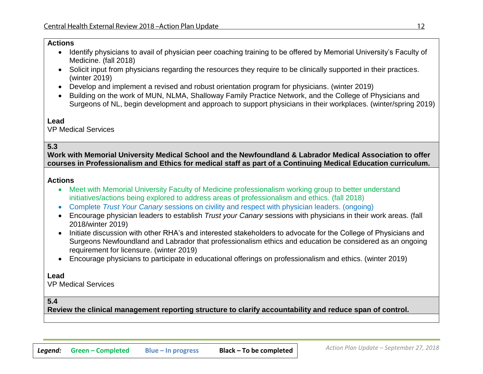#### **Actions**

- Identify physicians to avail of physician peer coaching training to be offered by Memorial University's Faculty of Medicine. (fall 2018)
- Solicit input from physicians regarding the resources they require to be clinically supported in their practices. (winter 2019)
- Develop and implement a revised and robust orientation program for physicians. (winter 2019)
- Building on the work of MUN, NLMA, Shalloway Family Practice Network, and the College of Physicians and Surgeons of NL, begin development and approach to support physicians in their workplaces. (winter/spring 2019)

#### **Lead**

VP Medical Services

#### **5.3**

**Work with Memorial University Medical School and the Newfoundland & Labrador Medical Association to offer courses in Professionalism and Ethics for medical staff as part of a Continuing Medical Education curriculum.**

#### **Actions**

- Meet with Memorial University Faculty of Medicine professionalism working group to better understand initiatives/actions being explored to address areas of professionalism and ethics. (fall 2018)
- Complete *Trust Your Canary* sessions on civility and respect with physician leaders. (ongoing)
- Encourage physician leaders to establish *Trust your Canary* sessions with physicians in their work areas. (fall 2018/winter 2019)
- Initiate discussion with other RHA's and interested stakeholders to advocate for the College of Physicians and Surgeons Newfoundland and Labrador that professionalism ethics and education be considered as an ongoing requirement for licensure. (winter 2019)
- Encourage physicians to participate in educational offerings on professionalism and ethics. (winter 2019)

#### **Lead**

VP Medical Services

#### **5.4**

**Review the clinical management reporting structure to clarify accountability and reduce span of control.**

 $12 \overline{ }$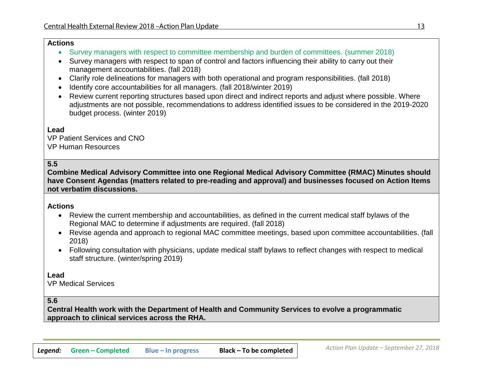#### **Actions**

- Survey managers with respect to committee membership and burden of committees. (summer 2018)
- Survey managers with respect to span of control and factors influencing their ability to carry out their management accountabilities. (fall 2018)
- Clarify role delineations for managers with both operational and program responsibilities. (fall 2018)
- Identify core accountabilities for all managers. (fall 2018/winter 2019)
- Review current reporting structures based upon direct and indirect reports and adjust where possible. Where adjustments are not possible, recommendations to address identified issues to be considered in the 2019-2020 budget process. (winter 2019)

# **Lead**

VP Patient Services and CNO VP Human Resources

# **5.5**

**Combine Medical Advisory Committee into one Regional Medical Advisory Committee (RMAC) Minutes should have Consent Agendas (matters related to pre-reading and approval) and businesses focused on Action Items not verbatim discussions.**

# **Actions**

- Review the current membership and accountabilities, as defined in the current medical staff bylaws of the Regional MAC to determine if adjustments are required. (fall 2018)
- Revise agenda and approach to regional MAC committee meetings, based upon committee accountabilities. (fall 2018)
- Following consultation with physicians, update medical staff bylaws to reflect changes with respect to medical staff structure. (winter/spring 2019)

# **Lead**

VP Medical Services

#### **5.6**

**Central Health work with the Department of Health and Community Services to evolve a programmatic approach to clinical services across the RHA.**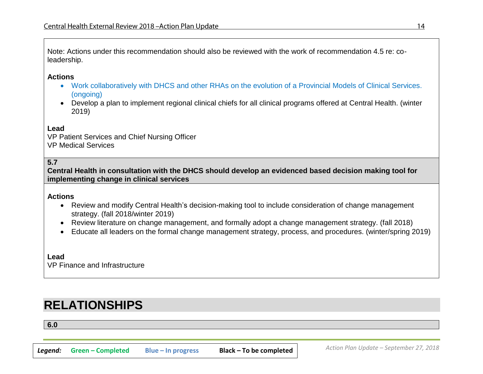Note: Actions under this recommendation should also be reviewed with the work of recommendation 4.5 re: coleadership.

#### **Actions**

- Work collaboratively with DHCS and other RHAs on the evolution of a Provincial Models of Clinical Services. (ongoing)
- Develop a plan to implement regional clinical chiefs for all clinical programs offered at Central Health. (winter 2019)

#### **Lead**

VP Patient Services and Chief Nursing Officer VP Medical Services

### **5.7**

**Central Health in consultation with the DHCS should develop an evidenced based decision making tool for implementing change in clinical services**

#### **Actions**

- Review and modify Central Health's decision-making tool to include consideration of change management strategy. (fall 2018/winter 2019)
- Review literature on change management, and formally adopt a change management strategy. (fall 2018)
- Educate all leaders on the formal change management strategy, process, and procedures. (winter/spring 2019)

#### **Lead** VP Finance and Infrastructure

# **RELATIONSHIPS**

**6.0**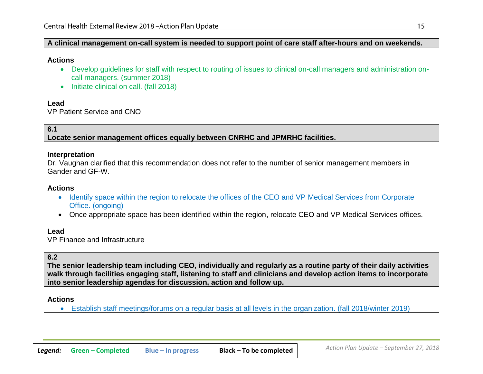# **A clinical management on-call system is needed to support point of care staff after-hours and on weekends.**

### **Actions**

- Develop guidelines for staff with respect to routing of issues to clinical on-call managers and administration oncall managers. (summer 2018)
- Initiate clinical on call. (fall 2018)

# **Lead**

VP Patient Service and CNO

# **6.1**

**Locate senior management offices equally between CNRHC and JPMRHC facilities.**

#### **Interpretation**

Dr. Vaughan clarified that this recommendation does not refer to the number of senior management members in Gander and GF-W.

# **Actions**

- Identify space within the region to relocate the offices of the CEO and VP Medical Services from Corporate Office. (ongoing)
- Once appropriate space has been identified within the region, relocate CEO and VP Medical Services offices.

# **Lead**

VP Finance and Infrastructure

# **6.2**

**The senior leadership team including CEO, individually and regularly as a routine party of their daily activities walk through facilities engaging staff, listening to staff and clinicians and develop action items to incorporate into senior leadership agendas for discussion, action and follow up.**

# **Actions**

• Establish staff meetings/forums on a regular basis at all levels in the organization. (fall 2018/winter 2019)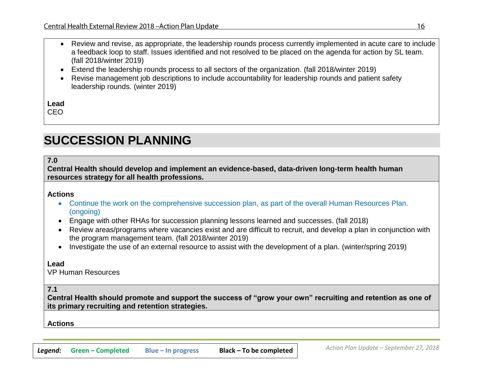- Review and revise, as appropriate, the leadership rounds process currently implemented in acute care to include a feedback loop to staff. Issues identified and not resolved to be placed on the agenda for action by SL team. (fall 2018/winter 2019)
- Extend the leadership rounds process to all sectors of the organization. (fall 2018/winter 2019)
- Revise management job descriptions to include accountability for leadership rounds and patient safety leadership rounds. (winter 2019)

CEO

# **SUCCESSION PLANNING**

**7.0** 

**Central Health should develop and implement an evidence-based, data-driven long-term health human resources strategy for all health professions.**

#### **Actions**

- Continue the work on the comprehensive succession plan, as part of the overall Human Resources Plan. (ongoing)
- Engage with other RHAs for succession planning lessons learned and successes. (fall 2018)
- Review areas/programs where vacancies exist and are difficult to recruit, and develop a plan in conjunction with the program management team. (fall 2018/winter 2019)
- Investigate the use of an external resource to assist with the development of a plan. (winter/spring 2019)

#### **Lead**

VP Human Resources

# **7.1**

**Central Health should promote and support the success of "grow your own" recruiting and retention as one of its primary recruiting and retention strategies.**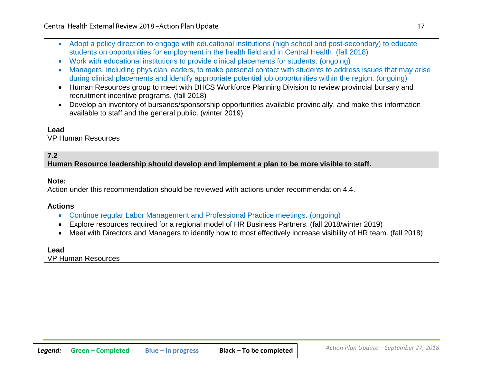- Adopt a policy direction to engage with educational institutions (high school and post-secondary) to educate students on opportunities for employment in the health field and in Central Health. (fall 2018)
- Work with educational institutions to provide clinical placements for students. (ongoing)
- Managers, including physician leaders, to make personal contact with students to address issues that may arise during clinical placements and identify appropriate potential job opportunities within the region. (ongoing)
- Human Resources group to meet with DHCS Workforce Planning Division to review provincial bursary and recruitment incentive programs. (fall 2018)
- Develop an inventory of bursaries/sponsorship opportunities available provincially, and make this information available to staff and the general public. (winter 2019)

VP Human Resources

# **7.2**

**Human Resource leadership should develop and implement a plan to be more visible to staff.**

#### **Note:**

Action under this recommendation should be reviewed with actions under recommendation 4.4.

#### **Actions**

- Continue regular Labor Management and Professional Practice meetings. (ongoing)
- Explore resources required for a regional model of HR Business Partners. (fall 2018/winter 2019)
- Meet with Directors and Managers to identify how to most effectively increase visibility of HR team. (fall 2018)

#### **Lead**

VP Human Resources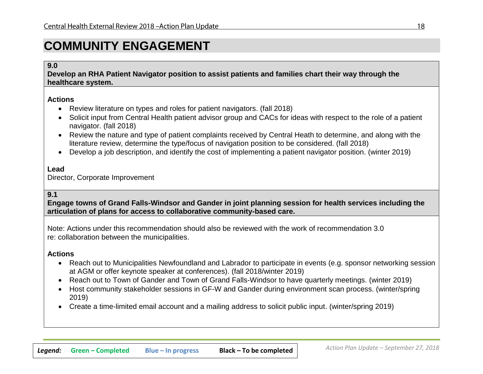# **COMMUNITY ENGAGEMENT**

#### **9.0**

**Develop an RHA Patient Navigator position to assist patients and families chart their way through the healthcare system.**

#### **Actions**

- Review literature on types and roles for patient navigators. (fall 2018)
- Solicit input from Central Health patient advisor group and CACs for ideas with respect to the role of a patient navigator. (fall 2018)
- Review the nature and type of patient complaints received by Central Heath to determine, and along with the literature review, determine the type/focus of navigation position to be considered. (fall 2018)
- Develop a job description, and identify the cost of implementing a patient navigator position. (winter 2019)

#### **Lead**

Director, Corporate Improvement

### **9.1**

**Engage towns of Grand Falls-Windsor and Gander in joint planning session for health services including the articulation of plans for access to collaborative community-based care.**

Note: Actions under this recommendation should also be reviewed with the work of recommendation 3.0 re: collaboration between the municipalities.

- Reach out to Municipalities Newfoundland and Labrador to participate in events (e.g. sponsor networking session at AGM or offer keynote speaker at conferences). (fall 2018/winter 2019)
- Reach out to Town of Gander and Town of Grand Falls-Windsor to have quarterly meetings. (winter 2019)
- Host community stakeholder sessions in GF-W and Gander during environment scan process. (winter/spring 2019)
- Create a time-limited email account and a mailing address to solicit public input. (winter/spring 2019)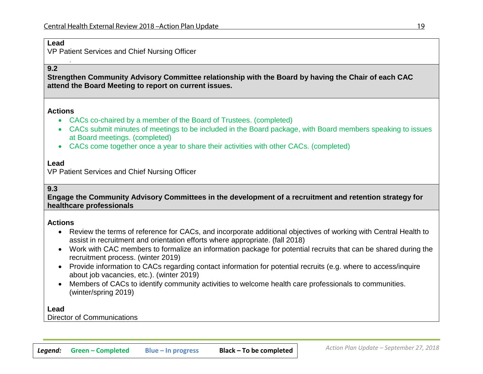.

VP Patient Services and Chief Nursing Officer

## **9.2**

**Strengthen Community Advisory Committee relationship with the Board by having the Chair of each CAC attend the Board Meeting to report on current issues.**

#### **Actions**

- CACs co-chaired by a member of the Board of Trustees. (completed)
- CACs submit minutes of meetings to be included in the Board package, with Board members speaking to issues at Board meetings. (completed)
- CACs come together once a year to share their activities with other CACs. (completed)

#### **Lead**

VP Patient Services and Chief Nursing Officer

#### **9.3**

**Engage the Community Advisory Committees in the development of a recruitment and retention strategy for healthcare professionals**

#### **Actions**

- Review the terms of reference for CACs, and incorporate additional objectives of working with Central Health to assist in recruitment and orientation efforts where appropriate. (fall 2018)
- Work with CAC members to formalize an information package for potential recruits that can be shared during the recruitment process. (winter 2019)
- Provide information to CACs regarding contact information for potential recruits (e.g. where to access/inquire about job vacancies, etc.). (winter 2019)
- Members of CACs to identify community activities to welcome health care professionals to communities. (winter/spring 2019)

#### **Lead**

Director of Communications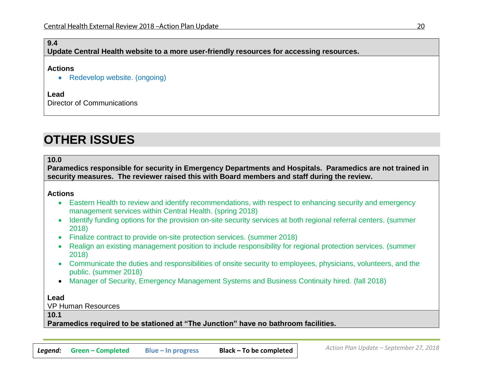### **9.4**

**Update Central Health website to a more user-friendly resources for accessing resources.**

#### **Actions**

• Redevelop website. (ongoing)

#### **Lead**

Director of Communications

# **OTHER ISSUES**

#### **10.0**

**Paramedics responsible for security in Emergency Departments and Hospitals. Paramedics are not trained in security measures. The reviewer raised this with Board members and staff during the review.**

#### **Actions**

- Eastern Health to review and identify recommendations, with respect to enhancing security and emergency management services within Central Health. (spring 2018)
- Identify funding options for the provision on-site security services at both regional referral centers. (summer 2018)
- Finalize contract to provide on-site protection services. (summer 2018)
- Realign an existing management position to include responsibility for regional protection services. (summer 2018)
- Communicate the duties and responsibilities of onsite security to employees, physicians, volunteers, and the public. (summer 2018)
- Manager of Security, Emergency Management Systems and Business Continuity hired. (fall 2018)

#### **Lead**

VP Human Resources

#### **10.1**

**Paramedics required to be stationed at "The Junction" have no bathroom facilities.**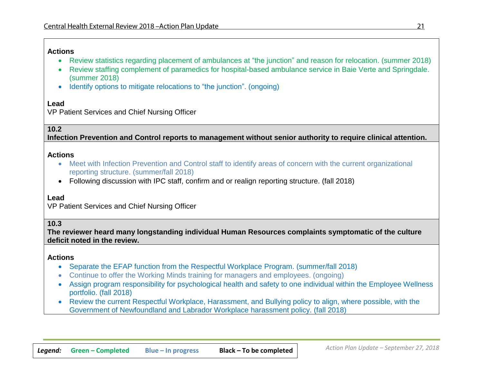### **Actions**

- Review statistics regarding placement of ambulances at "the junction" and reason for relocation. (summer 2018)
- Review staffing complement of paramedics for hospital-based ambulance service in Baie Verte and Springdale. (summer 2018)
- Identify options to mitigate relocations to "the junction". (ongoing)

# **Lead**

VP Patient Services and Chief Nursing Officer

# **10.2**

**Infection Prevention and Control reports to management without senior authority to require clinical attention.**

### **Actions**

- Meet with Infection Prevention and Control staff to identify areas of concern with the current organizational reporting structure. (summer/fall 2018)
- Following discussion with IPC staff, confirm and or realign reporting structure. (fall 2018)

# **Lead**

VP Patient Services and Chief Nursing Officer

# **10.3**

**The reviewer heard many longstanding individual Human Resources complaints symptomatic of the culture deficit noted in the review.**

- Separate the EFAP function from the Respectful Workplace Program. (summer/fall 2018)
- Continue to offer the Working Minds training for managers and employees. (ongoing)
- Assign program responsibility for psychological health and safety to one individual within the Employee Wellness portfolio. (fall 2018)
- Review the current Respectful Workplace, Harassment, and Bullying policy to align, where possible, with the Government of Newfoundland and Labrador Workplace harassment policy. (fall 2018)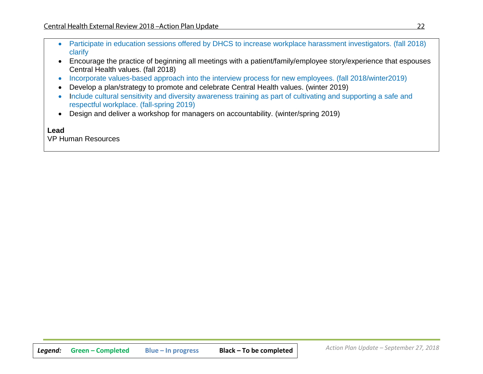- Participate in education sessions offered by DHCS to increase workplace harassment investigators. (fall 2018) clarify
- Encourage the practice of beginning all meetings with a patient/family/employee story/experience that espouses Central Health values. (fall 2018)
- Incorporate values-based approach into the interview process for new employees. (fall 2018/winter2019)
- Develop a plan/strategy to promote and celebrate Central Health values. (winter 2019)
- Include cultural sensitivity and diversity awareness training as part of cultivating and supporting a safe and respectful workplace. (fall-spring 2019)
- Design and deliver a workshop for managers on accountability. (winter/spring 2019)

VP Human Resources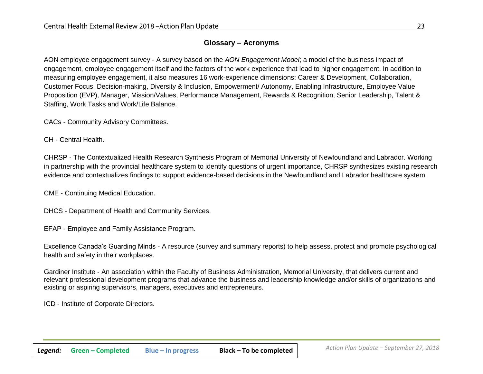# **Glossary – Acronyms**

AON employee engagement survey - A survey based on the *AON Engagement Model*; a model of the business impact of engagement, employee engagement itself and the factors of the work experience that lead to higher engagement. In addition to measuring employee engagement, it also measures 16 work-experience dimensions: Career & Development, Collaboration, Customer Focus, Decision-making, Diversity & Inclusion, Empowerment/ Autonomy, Enabling Infrastructure, Employee Value Proposition (EVP), Manager, Mission/Values, Performance Management, Rewards & Recognition, Senior Leadership, Talent & Staffing, Work Tasks and Work/Life Balance.

CACs - Community Advisory Committees.

CH - Central Health.

CHRSP - The Contextualized Health Research Synthesis Program of Memorial University of Newfoundland and Labrador. Working in partnership with the provincial healthcare system to identify questions of urgent importance, CHRSP synthesizes existing research evidence and contextualizes findings to support evidence-based decisions in the Newfoundland and Labrador healthcare system.

CME - Continuing Medical Education.

DHCS - Department of Health and Community Services.

EFAP - Employee and Family Assistance Program.

Excellence Canada's Guarding Minds - A resource (survey and summary reports) to help assess, protect and promote psychological health and safety in their workplaces.

Gardiner Institute - An association within the Faculty of Business Administration, Memorial University, that delivers current and relevant professional development programs that advance the business and leadership knowledge and/or skills of organizations and existing or aspiring supervisors, managers, executives and entrepreneurs.

ICD - Institute of Corporate Directors.